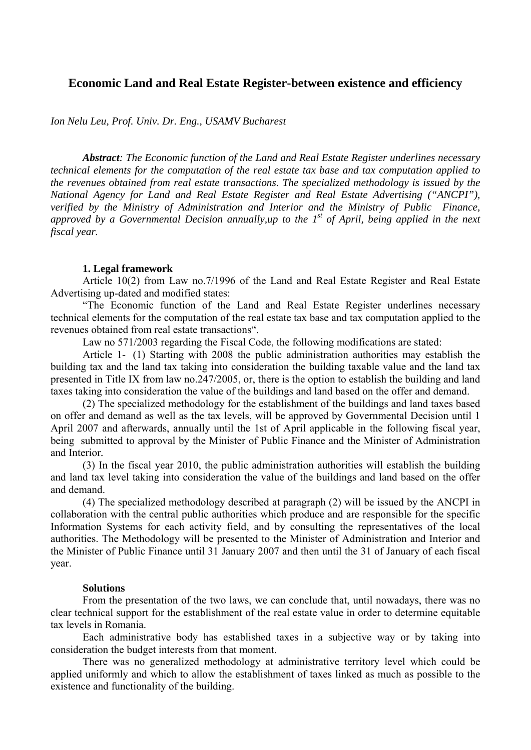# **Economic Land and Real Estate Register-between existence and efficiency**

*Ion Nelu Leu, Prof. Univ. Dr. Eng., USAMV Bucharest* 

*Abstract: The Economic function of the Land and Real Estate Register underlines necessary technical elements for the computation of the real estate tax base and tax computation applied to the revenues obtained from real estate transactions. The specialized methodology is issued by the National Agency for Land and Real Estate Register and Real Estate Advertising ("ANCPI"), verified by the Ministry of Administration and Interior and the Ministry of Public Finance, approved by a Governmental Decision annually,up to the 1st of April, being applied in the next fiscal year.* 

#### **1. Legal framework**

Article 10(2) from Law no.7/1996 of the Land and Real Estate Register and Real Estate Advertising up-dated and modified states:

"The Economic function of the Land and Real Estate Register underlines necessary technical elements for the computation of the real estate tax base and tax computation applied to the revenues obtained from real estate transactions".

Law no 571/2003 regarding the Fiscal Code, the following modifications are stated:

Article 1- (1) Starting with 2008 the public administration authorities may establish the building tax and the land tax taking into consideration the building taxable value and the land tax presented in Title IX from law no.247/2005, or, there is the option to establish the building and land taxes taking into consideration the value of the buildings and land based on the offer and demand.

(2) The specialized methodology for the establishment of the buildings and land taxes based on offer and demand as well as the tax levels, will be approved by Governmental Decision until 1 April 2007 and afterwards, annually until the 1st of April applicable in the following fiscal year, being submitted to approval by the Minister of Public Finance and the Minister of Administration and Interior*.*

(3) In the fiscal year 2010, the public administration authorities will establish the building and land tax level taking into consideration the value of the buildings and land based on the offer and demand.

(4) The specialized methodology described at paragraph (2) will be issued by the ANCPI in collaboration with the central public authorities which produce and are responsible for the specific Information Systems for each activity field, and by consulting the representatives of the local authorities. The Methodology will be presented to the Minister of Administration and Interior and the Minister of Public Finance until 31 January 2007 and then until the 31 of January of each fiscal year.

#### **Solutions**

From the presentation of the two laws, we can conclude that, until nowadays, there was no clear technical support for the establishment of the real estate value in order to determine equitable tax levels in Romania.

Each administrative body has established taxes in a subjective way or by taking into consideration the budget interests from that moment.

There was no generalized methodology at administrative territory level which could be applied uniformly and which to allow the establishment of taxes linked as much as possible to the existence and functionality of the building.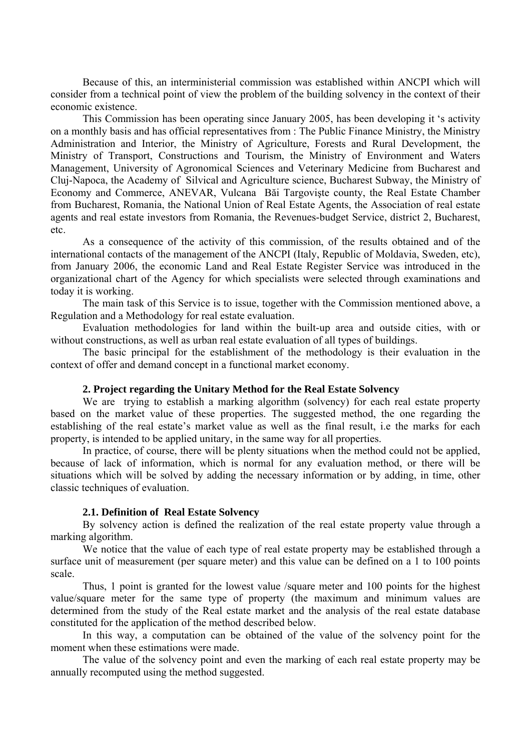Because of this, an interministerial commission was established within ANCPI which will consider from a technical point of view the problem of the building solvency in the context of their economic existence.

This Commission has been operating since January 2005, has been developing it 's activity on a monthly basis and has official representatives from : The Public Finance Ministry, the Ministry Administration and Interior, the Ministry of Agriculture, Forests and Rural Development, the Ministry of Transport, Constructions and Tourism, the Ministry of Environment and Waters Management, University of Agronomical Sciences and Veterinary Medicine from Bucharest and Cluj-Napoca, the Academy of Silvical and Agriculture science, Bucharest Subway, the Ministry of Economy and Commerce, ANEVAR, Vulcana Băi Targovişte county, the Real Estate Chamber from Bucharest, Romania, the National Union of Real Estate Agents, the Association of real estate agents and real estate investors from Romania, the Revenues-budget Service, district 2, Bucharest, etc.

As a consequence of the activity of this commission, of the results obtained and of the international contacts of the management of the ANCPI (Italy, Republic of Moldavia, Sweden, etc), from January 2006, the economic Land and Real Estate Register Service was introduced in the organizational chart of the Agency for which specialists were selected through examinations and today it is working.

The main task of this Service is to issue, together with the Commission mentioned above, a Regulation and a Methodology for real estate evaluation.

Evaluation methodologies for land within the built-up area and outside cities, with or without constructions, as well as urban real estate evaluation of all types of buildings.

The basic principal for the establishment of the methodology is their evaluation in the context of offer and demand concept in a functional market economy.

#### **2. Project regarding the Unitary Method for the Real Estate Solvency**

We are trying to establish a marking algorithm (solvency) for each real estate property based on the market value of these properties. The suggested method, the one regarding the establishing of the real estate's market value as well as the final result, i.e the marks for each property, is intended to be applied unitary, in the same way for all properties.

In practice, of course, there will be plenty situations when the method could not be applied, because of lack of information, which is normal for any evaluation method, or there will be situations which will be solved by adding the necessary information or by adding, in time, other classic techniques of evaluation.

# **2.1. Definition of Real Estate Solvency**

By solvency action is defined the realization of the real estate property value through a marking algorithm.

We notice that the value of each type of real estate property may be established through a surface unit of measurement (per square meter) and this value can be defined on a 1 to 100 points scale.

Thus, 1 point is granted for the lowest value /square meter and 100 points for the highest value/square meter for the same type of property (the maximum and minimum values are determined from the study of the Real estate market and the analysis of the real estate database constituted for the application of the method described below.

In this way, a computation can be obtained of the value of the solvency point for the moment when these estimations were made.

The value of the solvency point and even the marking of each real estate property may be annually recomputed using the method suggested.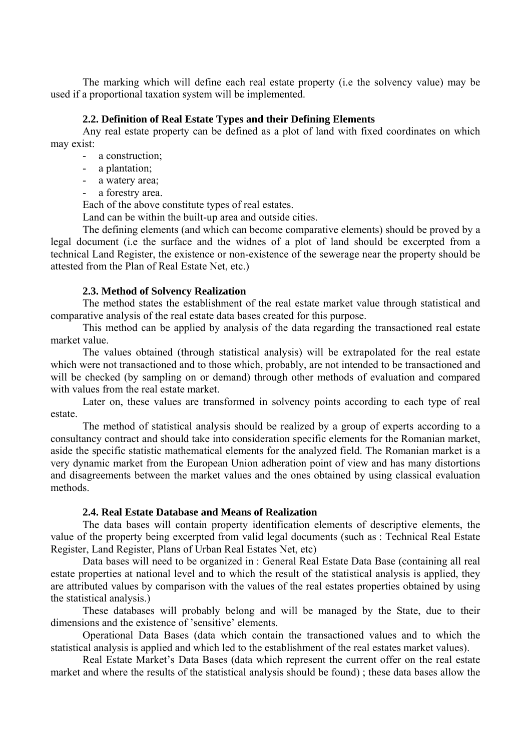The marking which will define each real estate property (i.e the solvency value) may be used if a proportional taxation system will be implemented.

### **2.2. Definition of Real Estate Types and their Defining Elements**

Any real estate property can be defined as a plot of land with fixed coordinates on which may exist:

- a construction;
- a plantation;
- a watery area;
- a forestry area.

Each of the above constitute types of real estates.

Land can be within the built-up area and outside cities.

The defining elements (and which can become comparative elements) should be proved by a legal document (i.e the surface and the widnes of a plot of land should be excerpted from a technical Land Register, the existence or non-existence of the sewerage near the property should be attested from the Plan of Real Estate Net, etc.)

# **2.3. Method of Solvency Realization**

The method states the establishment of the real estate market value through statistical and comparative analysis of the real estate data bases created for this purpose.

This method can be applied by analysis of the data regarding the transactioned real estate market value.

The values obtained (through statistical analysis) will be extrapolated for the real estate which were not transactioned and to those which, probably, are not intended to be transactioned and will be checked (by sampling on or demand) through other methods of evaluation and compared with values from the real estate market.

Later on, these values are transformed in solvency points according to each type of real estate.

The method of statistical analysis should be realized by a group of experts according to a consultancy contract and should take into consideration specific elements for the Romanian market, aside the specific statistic mathematical elements for the analyzed field. The Romanian market is a very dynamic market from the European Union adheration point of view and has many distortions and disagreements between the market values and the ones obtained by using classical evaluation methods.

# **2.4. Real Estate Database and Means of Realization**

The data bases will contain property identification elements of descriptive elements, the value of the property being excerpted from valid legal documents (such as : Technical Real Estate Register, Land Register, Plans of Urban Real Estates Net, etc)

Data bases will need to be organized in : General Real Estate Data Base (containing all real estate properties at national level and to which the result of the statistical analysis is applied, they are attributed values by comparison with the values of the real estates properties obtained by using the statistical analysis.)

These databases will probably belong and will be managed by the State, due to their dimensions and the existence of 'sensitive' elements.

Operational Data Bases (data which contain the transactioned values and to which the statistical analysis is applied and which led to the establishment of the real estates market values).

Real Estate Market's Data Bases (data which represent the current offer on the real estate market and where the results of the statistical analysis should be found) ; these data bases allow the